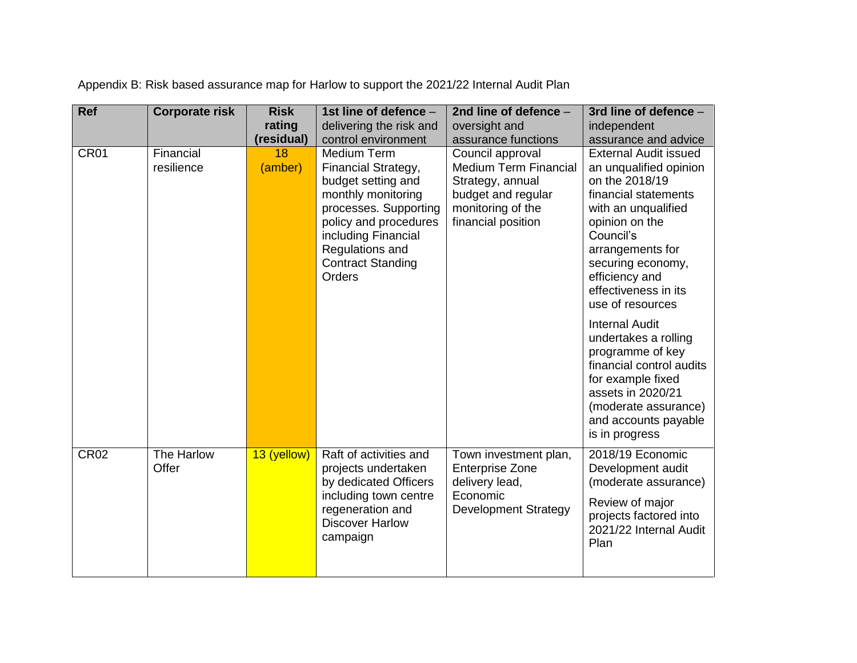| <b>Ref</b>  | <b>Corporate risk</b>   | <b>Risk</b>   | 1st line of defence -                                                                                                                                                                                            | 2nd line of defence -                                                                                                                 | 3rd line of defence -                                                                                                                                                                                                                                         |
|-------------|-------------------------|---------------|------------------------------------------------------------------------------------------------------------------------------------------------------------------------------------------------------------------|---------------------------------------------------------------------------------------------------------------------------------------|---------------------------------------------------------------------------------------------------------------------------------------------------------------------------------------------------------------------------------------------------------------|
|             |                         | rating        | delivering the risk and                                                                                                                                                                                          | oversight and                                                                                                                         | independent                                                                                                                                                                                                                                                   |
|             |                         | (residual)    | control environment                                                                                                                                                                                              | assurance functions                                                                                                                   | assurance and advice                                                                                                                                                                                                                                          |
| <b>CR01</b> | Financial<br>resilience | 18<br>(amber) | Medium Term<br>Financial Strategy,<br>budget setting and<br>monthly monitoring<br>processes. Supporting<br>policy and procedures<br>including Financial<br>Regulations and<br><b>Contract Standing</b><br>Orders | Council approval<br><b>Medium Term Financial</b><br>Strategy, annual<br>budget and regular<br>monitoring of the<br>financial position | <b>External Audit issued</b><br>an unqualified opinion<br>on the 2018/19<br>financial statements<br>with an unqualified<br>opinion on the<br>Council's<br>arrangements for<br>securing economy,<br>efficiency and<br>effectiveness in its<br>use of resources |
|             |                         |               |                                                                                                                                                                                                                  |                                                                                                                                       | <b>Internal Audit</b><br>undertakes a rolling<br>programme of key<br>financial control audits<br>for example fixed<br>assets in 2020/21<br>(moderate assurance)<br>and accounts payable<br>is in progress                                                     |
| <b>CR02</b> | The Harlow<br>Offer     | 13 (yellow)   | Raft of activities and<br>projects undertaken<br>by dedicated Officers<br>including town centre<br>regeneration and<br><b>Discover Harlow</b><br>campaign                                                        | Town investment plan,<br><b>Enterprise Zone</b><br>delivery lead,<br>Economic<br><b>Development Strategy</b>                          | 2018/19 Economic<br>Development audit<br>(moderate assurance)<br>Review of major<br>projects factored into<br>2021/22 Internal Audit<br>Plan                                                                                                                  |

Appendix B: Risk based assurance map for Harlow to support the 2021/22 Internal Audit Plan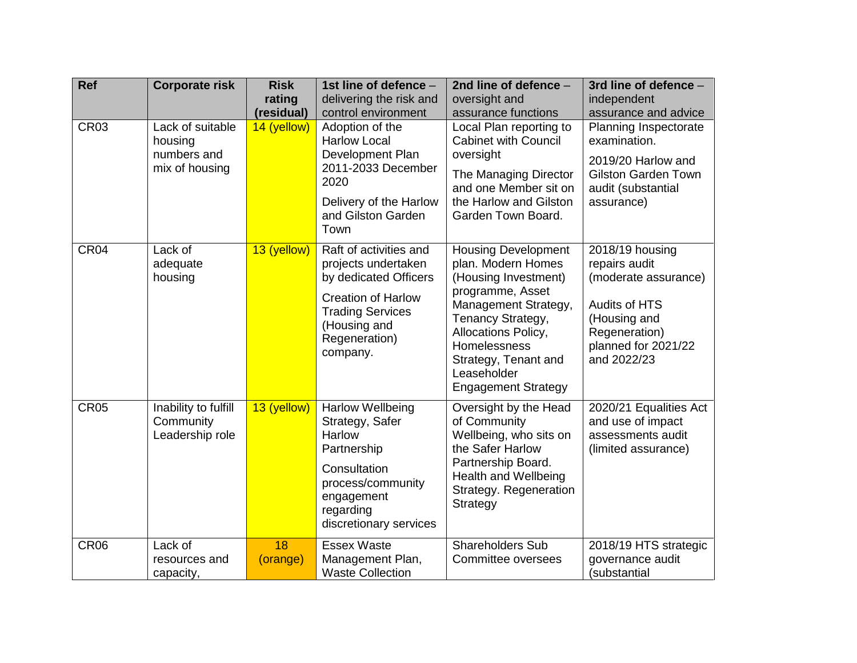| <b>Ref</b>       | <b>Corporate risk</b>                                        | <b>Risk</b><br>rating<br>(residual) | 1st line of defence -<br>delivering the risk and<br>control environment                                                                                                     | 2nd line of defence -<br>oversight and<br>assurance functions                                                                                                                                                                                         | 3rd line of defence -<br>independent<br>assurance and advice                                                                                     |
|------------------|--------------------------------------------------------------|-------------------------------------|-----------------------------------------------------------------------------------------------------------------------------------------------------------------------------|-------------------------------------------------------------------------------------------------------------------------------------------------------------------------------------------------------------------------------------------------------|--------------------------------------------------------------------------------------------------------------------------------------------------|
| <b>CR03</b>      | Lack of suitable<br>housing<br>numbers and<br>mix of housing | 14 (yellow)                         | Adoption of the<br><b>Harlow Local</b><br>Development Plan<br>2011-2033 December<br>2020<br>Delivery of the Harlow<br>and Gilston Garden<br>Town                            | Local Plan reporting to<br><b>Cabinet with Council</b><br>oversight<br>The Managing Director<br>and one Member sit on<br>the Harlow and Gilston<br>Garden Town Board.                                                                                 | Planning Inspectorate<br>examination.<br>2019/20 Harlow and<br><b>Gilston Garden Town</b><br>audit (substantial<br>assurance)                    |
| CR <sub>04</sub> | Lack of<br>adequate<br>housing                               | 13 (yellow)                         | Raft of activities and<br>projects undertaken<br>by dedicated Officers<br><b>Creation of Harlow</b><br><b>Trading Services</b><br>(Housing and<br>Regeneration)<br>company. | <b>Housing Development</b><br>plan. Modern Homes<br>(Housing Investment)<br>programme, Asset<br>Management Strategy,<br>Tenancy Strategy,<br>Allocations Policy,<br>Homelessness<br>Strategy, Tenant and<br>Leaseholder<br><b>Engagement Strategy</b> | 2018/19 housing<br>repairs audit<br>(moderate assurance)<br>Audits of HTS<br>(Housing and<br>Regeneration)<br>planned for 2021/22<br>and 2022/23 |
| <b>CR05</b>      | Inability to fulfill<br>Community<br>Leadership role         | 13 (yellow)                         | <b>Harlow Wellbeing</b><br>Strategy, Safer<br>Harlow<br>Partnership<br>Consultation<br>process/community<br>engagement<br>regarding<br>discretionary services               | Oversight by the Head<br>of Community<br>Wellbeing, who sits on<br>the Safer Harlow<br>Partnership Board.<br>Health and Wellbeing<br>Strategy. Regeneration<br>Strategy                                                                               | 2020/21 Equalities Act<br>and use of impact<br>assessments audit<br>(limited assurance)                                                          |
| <b>CR06</b>      | Lack of<br>resources and<br>capacity,                        | 18<br>(orange)                      | <b>Essex Waste</b><br>Management Plan,<br><b>Waste Collection</b>                                                                                                           | <b>Shareholders Sub</b><br>Committee oversees                                                                                                                                                                                                         | 2018/19 HTS strategic<br>governance audit<br>(substantial                                                                                        |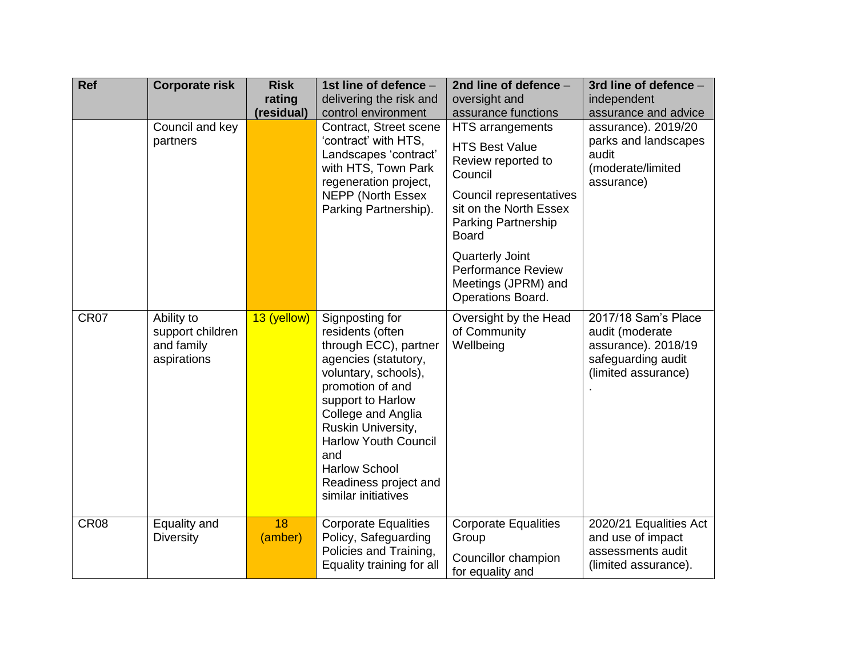| <b>Ref</b>  | <b>Corporate risk</b>                                       | <b>Risk</b><br>rating | 1st line of defence -<br>delivering the risk and                                                                                                                                                                                                                                                                | 2nd line of defence -<br>oversight and                                                                                                                                                                                                                                           | 3rd line of defence -<br>independent                                                                       |
|-------------|-------------------------------------------------------------|-----------------------|-----------------------------------------------------------------------------------------------------------------------------------------------------------------------------------------------------------------------------------------------------------------------------------------------------------------|----------------------------------------------------------------------------------------------------------------------------------------------------------------------------------------------------------------------------------------------------------------------------------|------------------------------------------------------------------------------------------------------------|
|             |                                                             | (residual)            | control environment                                                                                                                                                                                                                                                                                             | assurance functions                                                                                                                                                                                                                                                              | assurance and advice                                                                                       |
|             | Council and key<br>partners                                 |                       | Contract, Street scene<br>'contract' with HTS,<br>Landscapes 'contract'<br>with HTS, Town Park<br>regeneration project,<br><b>NEPP (North Essex)</b><br>Parking Partnership).                                                                                                                                   | HTS arrangements<br><b>HTS Best Value</b><br>Review reported to<br>Council<br>Council representatives<br>sit on the North Essex<br><b>Parking Partnership</b><br><b>Board</b><br><b>Quarterly Joint</b><br><b>Performance Review</b><br>Meetings (JPRM) and<br>Operations Board. | assurance). 2019/20<br>parks and landscapes<br>audit<br>(moderate/limited<br>assurance)                    |
| <b>CR07</b> | Ability to<br>support children<br>and family<br>aspirations | 13 (yellow)           | Signposting for<br>residents (often<br>through ECC), partner<br>agencies (statutory,<br>voluntary, schools),<br>promotion of and<br>support to Harlow<br>College and Anglia<br>Ruskin University,<br><b>Harlow Youth Council</b><br>and<br><b>Harlow School</b><br>Readiness project and<br>similar initiatives | Oversight by the Head<br>of Community<br>Wellbeing                                                                                                                                                                                                                               | 2017/18 Sam's Place<br>audit (moderate<br>assurance). 2018/19<br>safeguarding audit<br>(limited assurance) |
| <b>CR08</b> | Equality and<br><b>Diversity</b>                            | 18<br>(amber)         | <b>Corporate Equalities</b><br>Policy, Safeguarding<br>Policies and Training,<br>Equality training for all                                                                                                                                                                                                      | <b>Corporate Equalities</b><br>Group<br>Councillor champion<br>for equality and                                                                                                                                                                                                  | 2020/21 Equalities Act<br>and use of impact<br>assessments audit<br>(limited assurance).                   |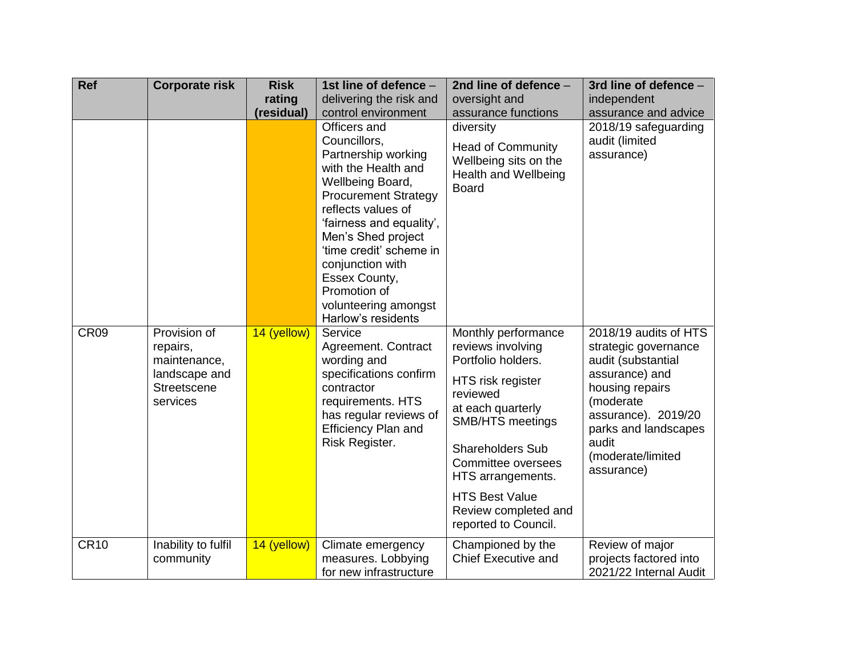| <b>Ref</b>       | <b>Corporate risk</b>                                                                       | <b>Risk</b><br>rating | 1st line of defence -<br>delivering the risk and                                                                                                                                                                                                                                                                                    | 2nd line of defence -<br>oversight and                                                                                                                                                                                                                                                         | 3rd line of defence -<br>independent                                                                                                                                                                             |
|------------------|---------------------------------------------------------------------------------------------|-----------------------|-------------------------------------------------------------------------------------------------------------------------------------------------------------------------------------------------------------------------------------------------------------------------------------------------------------------------------------|------------------------------------------------------------------------------------------------------------------------------------------------------------------------------------------------------------------------------------------------------------------------------------------------|------------------------------------------------------------------------------------------------------------------------------------------------------------------------------------------------------------------|
|                  |                                                                                             | (residual)            | control environment                                                                                                                                                                                                                                                                                                                 | assurance functions                                                                                                                                                                                                                                                                            | assurance and advice                                                                                                                                                                                             |
|                  |                                                                                             |                       | Officers and<br>Councillors,<br>Partnership working<br>with the Health and<br>Wellbeing Board,<br><b>Procurement Strategy</b><br>reflects values of<br>'fairness and equality',<br>Men's Shed project<br>'time credit' scheme in<br>conjunction with<br>Essex County,<br>Promotion of<br>volunteering amongst<br>Harlow's residents | diversity<br><b>Head of Community</b><br>Wellbeing sits on the<br>Health and Wellbeing<br><b>Board</b>                                                                                                                                                                                         | 2018/19 safeguarding<br>audit (limited<br>assurance)                                                                                                                                                             |
| CR <sub>09</sub> | Provision of<br>repairs,<br>maintenance,<br>landscape and<br><b>Streetscene</b><br>services | 14 (yellow)           | Service<br>Agreement. Contract<br>wording and<br>specifications confirm<br>contractor<br>requirements. HTS<br>has regular reviews of<br><b>Efficiency Plan and</b><br>Risk Register.                                                                                                                                                | Monthly performance<br>reviews involving<br>Portfolio holders.<br>HTS risk register<br>reviewed<br>at each quarterly<br><b>SMB/HTS meetings</b><br><b>Shareholders Sub</b><br>Committee oversees<br>HTS arrangements.<br><b>HTS Best Value</b><br>Review completed and<br>reported to Council. | 2018/19 audits of HTS<br>strategic governance<br>audit (substantial<br>assurance) and<br>housing repairs<br>(moderate<br>assurance). 2019/20<br>parks and landscapes<br>audit<br>(moderate/limited<br>assurance) |
| <b>CR10</b>      | Inability to fulfil<br>community                                                            | 14 (yellow)           | Climate emergency<br>measures. Lobbying<br>for new infrastructure                                                                                                                                                                                                                                                                   | Championed by the<br><b>Chief Executive and</b>                                                                                                                                                                                                                                                | Review of major<br>projects factored into<br>2021/22 Internal Audit                                                                                                                                              |